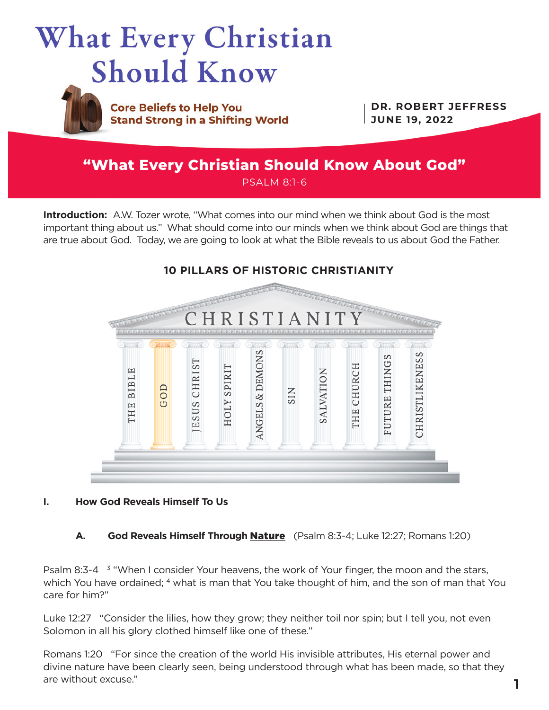



**Core Beliefs to Help You Stand Strong in a Shifting World** 

**DR. ROBERT JEFFRESS JUNE 19, 2022**

# **"What Every Christian Should Know About God"** PSALM 8:1-6

**Introduction:** A.W. Tozer wrote, "What comes into our mind when we think about God is the most important thing about us." What should come into our minds when we think about God are things that are true about God. Today, we are going to look at what the Bible reveals to us about God the Father.



# **I. How God Reveals Himself To Us**

**A. God Reveals Himself Through Nature** (Psalm 8:3-4; Luke 12:27; Romans 1:20)

Psalm 8:3-4  $3$  "When I consider Your heavens, the work of Your finger, the moon and the stars, which You have ordained; 4 what is man that You take thought of him, and the son of man that You care for him?"

Luke 12:27 "Consider the lilies, how they grow; they neither toil nor spin; but I tell you, not even Solomon in all his glory clothed himself like one of these."

Romans 1:20 "For since the creation of the world His invisible attributes, His eternal power and divine nature have been clearly seen, being understood through what has been made, so that they are without excuse."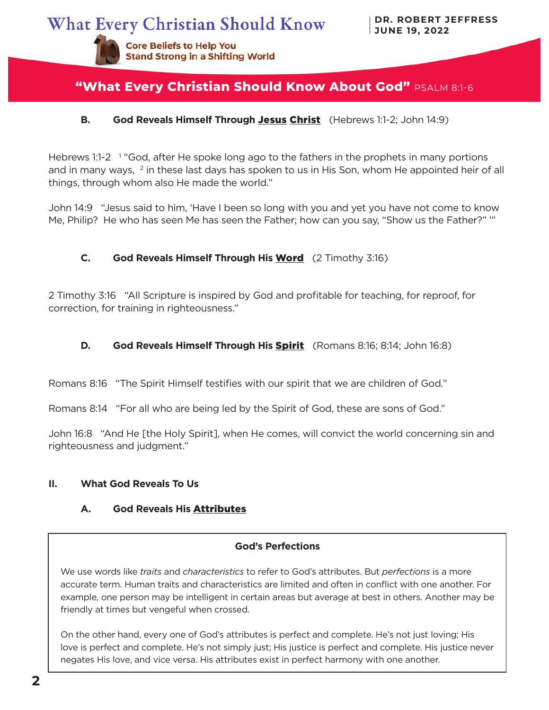**Stand Strong in a Shifting World** 

**Core Beliefs to Help You** 

# **"What Every Christian Should Know About God"** PSALM 8:1-6

## **B. God Reveals Himself Through** Jesus Christ (Hebrews 1:1-2; John 14:9)

Hebrews 1:1-2<sup>1</sup> "God, after He spoke long ago to the fathers in the prophets in many portions and in many ways, <sup>2</sup> in these last days has spoken to us in His Son, whom He appointed heir of all things, through whom also He made the world."

John 14:9 "Jesus said to him, 'Have I been so long with you and yet you have not come to know Me, Philip? He who has seen Me has seen the Father; how can you say, "Show us the Father?" '"

## **C. God Reveals Himself Through His** Word (2 Timothy 3:16)

2 Timothy 3:16 "All Scripture is inspired by God and profitable for teaching, for reproof, for correction, for training in righteousness."

#### **D. God Reveals Himself Through His** Spirit (Romans 8:16; 8:14; John 16:8)

Romans 8:16 "The Spirit Himself testifies with our spirit that we are children of God."

Romans 8:14 "For all who are being led by the Spirit of God, these are sons of God."

John 16:8 "And He [the Holy Spirit], when He comes, will convict the world concerning sin and righteousness and judgment."

#### **II. What God Reveals To Us**

# **A. God Reveals His** Attributes

#### **God's Perfections**

We use words like *traits* and *characteristics* to refer to God's attributes. But *perfections* is a more accurate term. Human traits and characteristics are limited and often in conflict with one another. For example, one person may be intelligent in certain areas but average at best in others. Another may be friendly at times but vengeful when crossed.

On the other hand, every one of God's attributes is perfect and complete. He's not just loving; His love is perfect and complete. He's not simply just; His justice is perfect and complete. His justice never negates His love, and vice versa. His attributes exist in perfect harmony with one another.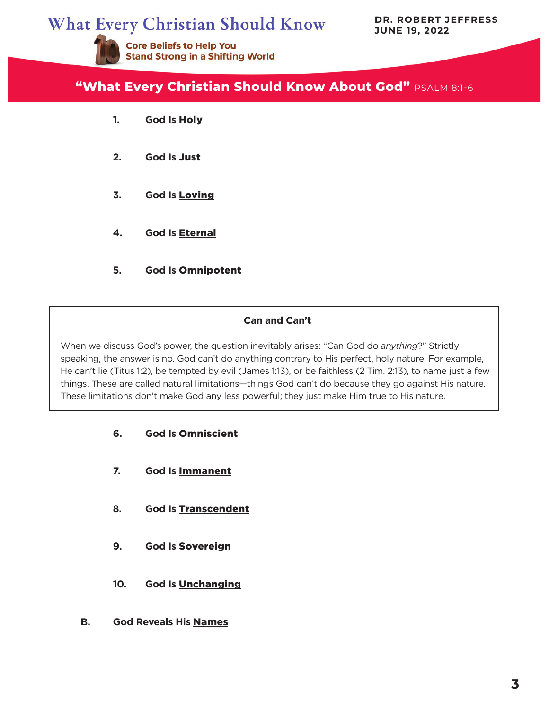# **What Every Christian Should Know**

**Stand Strong in a Shifting World** 

**Core Beliefs to Help You** 

**DR. ROBERT JEFFRESS JUNE 19, 2022**



- **1. God Is** Holy
- **2. God Is** Just
- **3. God Is** Loving
- **4. God Is** Eternal
- **5. God Is** Omnipotent

#### **Can and Can't**

When we discuss God's power, the question inevitably arises: "Can God do *anything*?" Strictly speaking, the answer is no. God can't do anything contrary to His perfect, holy nature. For example, He can't lie (Titus 1:2), be tempted by evil (James 1:13), or be faithless (2 Tim. 2:13), to name just a few things. These are called natural limitations—things God can't do because they go against His nature. These limitations don't make God any less powerful; they just make Him true to His nature.

- **6. God Is** Omniscient
- **7. God Is** Immanent
- **8. God Is** Transcendent
- **9. God Is** Sovereign
- **10. God Is** Unchanging
- **B. God Reveals His** Names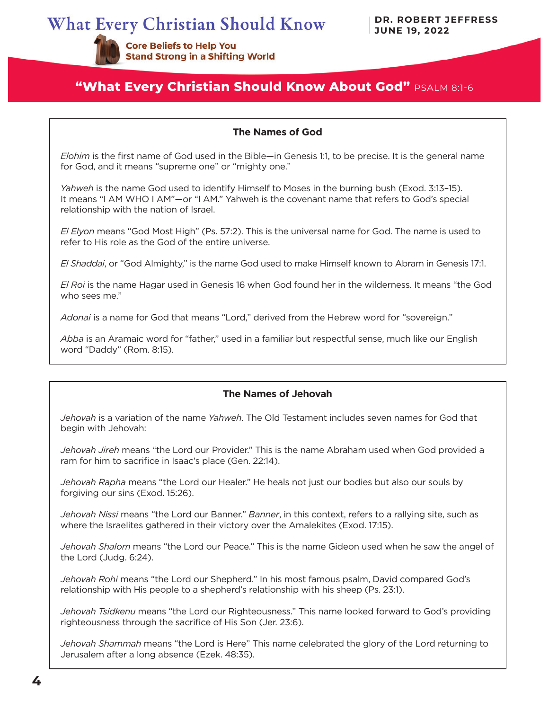**Stand Strong in a Shifting World** 

**Core Beliefs to Help You** 

# **"What Every Christian Should Know About God"** PSALM 8:1-6

#### **The Names of God**

*Elohim* is the first name of God used in the Bible—in Genesis 1:1, to be precise. It is the general name for God, and it means "supreme one" or "mighty one."

*Yahweh* is the name God used to identify Himself to Moses in the burning bush (Exod. 3:13–15). It means "I AM WHO I AM"—or "I AM." Yahweh is the covenant name that refers to God's special relationship with the nation of Israel.

*El Elyon* means "God Most High" (Ps. 57:2). This is the universal name for God. The name is used to refer to His role as the God of the entire universe.

*El Shaddai*, or "God Almighty," is the name God used to make Himself known to Abram in Genesis 17:1.

*El Roi* is the name Hagar used in Genesis 16 when God found her in the wilderness. It means "the God who sees me."

*Adonai* is a name for God that means "Lord," derived from the Hebrew word for "sovereign."

*Abba* is an Aramaic word for "father," used in a familiar but respectful sense, much like our English word "Daddy" (Rom. 8:15).

#### **The Names of Jehovah**

*Jehovah* is a variation of the name *Yahweh*. The Old Testament includes seven names for God that begin with Jehovah:

*Jehovah Jireh* means "the Lord our Provider." This is the name Abraham used when God provided a ram for him to sacrifice in Isaac's place (Gen. 22:14).

*Jehovah Rapha* means "the Lord our Healer." He heals not just our bodies but also our souls by forgiving our sins (Exod. 15:26).

*Jehovah Nissi* means "the Lord our Banner." *Banner*, in this context, refers to a rallying site, such as where the Israelites gathered in their victory over the Amalekites (Exod. 17:15).

*Jehovah Shalom* means "the Lord our Peace." This is the name Gideon used when he saw the angel of the Lord (Judg. 6:24).

*Jehovah Rohi* means "the Lord our Shepherd." In his most famous psalm, David compared God's relationship with His people to a shepherd's relationship with his sheep (Ps. 23:1).

*Jehovah Tsidkenu* means "the Lord our Righteousness." This name looked forward to God's providing righteousness through the sacrifice of His Son (Jer. 23:6).

*Jehovah Shammah* means "the Lord is Here" This name celebrated the glory of the Lord returning to Jerusalem after a long absence (Ezek. 48:35).